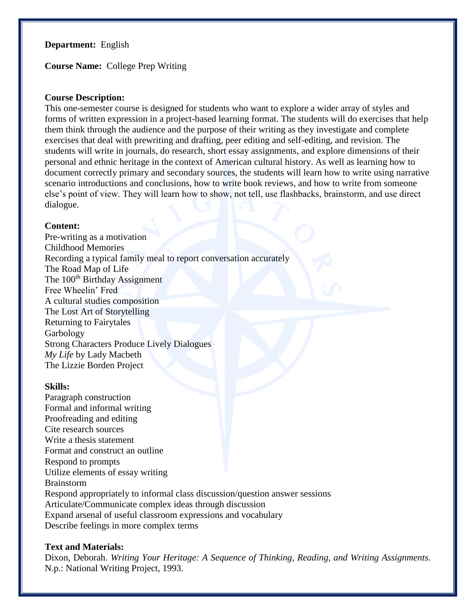# **Department:** English

**Course Name:** College Prep Writing

### **Course Description:**

This one-semester course is designed for students who want to explore a wider array of styles and forms of written expression in a project-based learning format. The students will do exercises that help them think through the audience and the purpose of their writing as they investigate and complete exercises that deal with prewriting and drafting, peer editing and self-editing, and revision. The students will write in journals, do research, short essay assignments, and explore dimensions of their personal and ethnic heritage in the context of American cultural history. As well as learning how to document correctly primary and secondary sources, the students will learn how to write using narrative scenario introductions and conclusions, how to write book reviews, and how to write from someone else's point of view. They will learn how to show, not tell, use flashbacks, brainstorm, and use direct dialogue.

#### **Content:**

Pre-writing as a motivation Childhood Memories Recording a typical family meal to report conversation accurately The Road Map of Life The 100<sup>th</sup> Birthday Assignment Free Wheelin' Fred A cultural studies composition The Lost Art of Storytelling Returning to Fairytales Garbology Strong Characters Produce Lively Dialogues *My Life* by Lady Macbeth The Lizzie Borden Project

#### **Skills:**

Paragraph construction Formal and informal writing Proofreading and editing Cite research sources Write a thesis statement Format and construct an outline Respond to prompts Utilize elements of essay writing Brainstorm Respond appropriately to informal class discussion/question answer sessions Articulate/Communicate complex ideas through discussion Expand arsenal of useful classroom expressions and vocabulary Describe feelings in more complex terms

## **Text and Materials:**

Dixon, Deborah. *Writing Your Heritage: A Sequence of Thinking, Reading, and Writing Assignments.*  N.p.: National Writing Project, 1993.